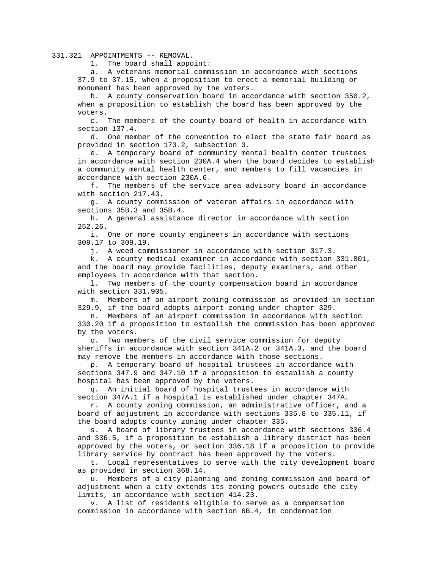331.321 APPOINTMENTS -- REMOVAL.

1. The board shall appoint:

 a. A veterans memorial commission in accordance with sections 37.9 to 37.15, when a proposition to erect a memorial building or monument has been approved by the voters.

 b. A county conservation board in accordance with section 350.2, when a proposition to establish the board has been approved by the voters.

 c. The members of the county board of health in accordance with section 137.4.

 d. One member of the convention to elect the state fair board as provided in section 173.2, subsection 3.

 e. A temporary board of community mental health center trustees in accordance with section 230A.4 when the board decides to establish a community mental health center, and members to fill vacancies in accordance with section 230A.6.

 f. The members of the service area advisory board in accordance with section 217.43.

 g. A county commission of veteran affairs in accordance with sections 35B.3 and 35B.4.

 h. A general assistance director in accordance with section 252.26.

 i. One or more county engineers in accordance with sections 309.17 to 309.19.

j. A weed commissioner in accordance with section 317.3.

 k. A county medical examiner in accordance with section 331.801, and the board may provide facilities, deputy examiners, and other employees in accordance with that section.

 l. Two members of the county compensation board in accordance with section 331.905.

 m. Members of an airport zoning commission as provided in section 329.9, if the board adopts airport zoning under chapter 329.

 n. Members of an airport commission in accordance with section 330.20 if a proposition to establish the commission has been approved by the voters.

 o. Two members of the civil service commission for deputy sheriffs in accordance with section 341A.2 or 341A.3, and the board may remove the members in accordance with those sections.

 p. A temporary board of hospital trustees in accordance with sections 347.9 and 347.10 if a proposition to establish a county hospital has been approved by the voters.

 q. An initial board of hospital trustees in accordance with section 347A.1 if a hospital is established under chapter 347A.

 r. A county zoning commission, an administrative officer, and a board of adjustment in accordance with sections 335.8 to 335.11, if the board adopts county zoning under chapter 335.

 s. A board of library trustees in accordance with sections 336.4 and 336.5, if a proposition to establish a library district has been approved by the voters, or section 336.18 if a proposition to provide library service by contract has been approved by the voters.

 t. Local representatives to serve with the city development board as provided in section 368.14.

 u. Members of a city planning and zoning commission and board of adjustment when a city extends its zoning powers outside the city limits, in accordance with section 414.23.

 v. A list of residents eligible to serve as a compensation commission in accordance with section 6B.4, in condemnation